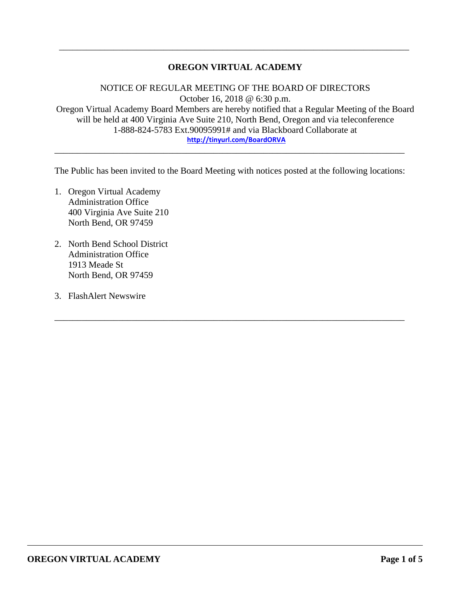### **OREGON VIRTUAL ACADEMY**

\_\_\_\_\_\_\_\_\_\_\_\_\_\_\_\_\_\_\_\_\_\_\_\_\_\_\_\_\_\_\_\_\_\_\_\_\_\_\_\_\_\_\_\_\_\_\_\_\_\_\_\_\_\_\_\_\_\_\_\_\_\_\_\_\_\_\_\_\_\_\_\_\_\_\_\_\_

NOTICE OF REGULAR MEETING OF THE BOARD OF DIRECTORS October 16, 2018 @ 6:30 p.m. Oregon Virtual Academy Board Members are hereby notified that a Regular Meeting of the Board will be held at 400 Virginia Ave Suite 210, North Bend, Oregon and via teleconference 1-888-824-5783 Ext.90095991# and via Blackboard Collaborate at **<http://tinyurl.com/BoardORVA>**

The Public has been invited to the Board Meeting with notices posted at the following locations:

\_\_\_\_\_\_\_\_\_\_\_\_\_\_\_\_\_\_\_\_\_\_\_\_\_\_\_\_\_\_\_\_\_\_\_\_\_\_\_\_\_\_\_\_\_\_\_\_\_\_\_\_\_\_\_\_\_\_\_\_\_\_\_\_\_\_\_\_\_\_\_\_\_\_\_\_\_

\_\_\_\_\_\_\_\_\_\_\_\_\_\_\_\_\_\_\_\_\_\_\_\_\_\_\_\_\_\_\_\_\_\_\_\_\_\_\_\_\_\_\_\_\_\_\_\_\_\_\_\_\_\_\_\_\_\_\_\_\_\_\_\_\_\_\_\_\_\_\_\_\_\_\_\_\_

- 1. Oregon Virtual Academy Administration Office 400 Virginia Ave Suite 210 North Bend, OR 97459
- 2. North Bend School District Administration Office 1913 Meade St North Bend, OR 97459
- 3. FlashAlert Newswire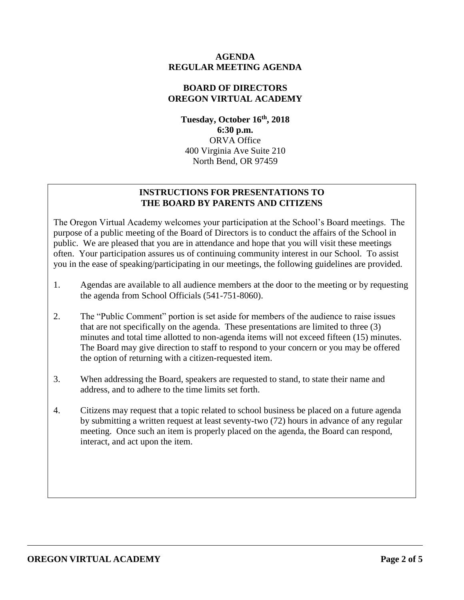### **AGENDA REGULAR MEETING AGENDA**

### **BOARD OF DIRECTORS OREGON VIRTUAL ACADEMY**

**Tuesday, October 16 th , 2018 6:30 p.m.** ORVA Office 400 Virginia Ave Suite 210 North Bend, OR 97459

## **INSTRUCTIONS FOR PRESENTATIONS TO THE BOARD BY PARENTS AND CITIZENS**

The Oregon Virtual Academy welcomes your participation at the School's Board meetings. The purpose of a public meeting of the Board of Directors is to conduct the affairs of the School in public. We are pleased that you are in attendance and hope that you will visit these meetings often. Your participation assures us of continuing community interest in our School. To assist you in the ease of speaking/participating in our meetings, the following guidelines are provided.

- 1. Agendas are available to all audience members at the door to the meeting or by requesting the agenda from School Officials (541-751-8060).
- 2. The "Public Comment" portion is set aside for members of the audience to raise issues that are not specifically on the agenda. These presentations are limited to three (3) minutes and total time allotted to non-agenda items will not exceed fifteen (15) minutes. The Board may give direction to staff to respond to your concern or you may be offered the option of returning with a citizen-requested item.
- 3. When addressing the Board, speakers are requested to stand, to state their name and address, and to adhere to the time limits set forth.
- 4. Citizens may request that a topic related to school business be placed on a future agenda by submitting a written request at least seventy-two (72) hours in advance of any regular meeting. Once such an item is properly placed on the agenda, the Board can respond, interact, and act upon the item.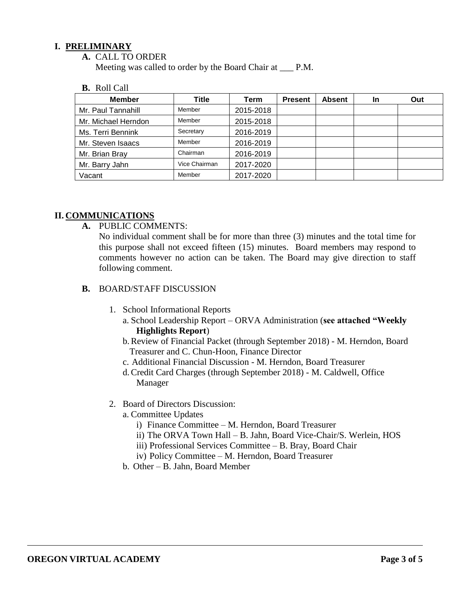### **I. PRELIMINARY**

**A.** CALL TO ORDER

Meeting was called to order by the Board Chair at \_\_\_ P.M.

#### **B.** Roll Call

| <b>Member</b>       | <b>Title</b>  | Term      | <b>Present</b> | <b>Absent</b> | In | Out |
|---------------------|---------------|-----------|----------------|---------------|----|-----|
| Mr. Paul Tannahill  | Member        | 2015-2018 |                |               |    |     |
| Mr. Michael Herndon | Member        | 2015-2018 |                |               |    |     |
| Ms. Terri Bennink   | Secretary     | 2016-2019 |                |               |    |     |
| Mr. Steven Isaacs   | Member        | 2016-2019 |                |               |    |     |
| Mr. Brian Bray      | Chairman      | 2016-2019 |                |               |    |     |
| Mr. Barry Jahn      | Vice Chairman | 2017-2020 |                |               |    |     |
| Vacant              | Member        | 2017-2020 |                |               |    |     |

### **II. COMMUNICATIONS**

**A.** PUBLIC COMMENTS:

No individual comment shall be for more than three (3) minutes and the total time for this purpose shall not exceed fifteen (15) minutes. Board members may respond to comments however no action can be taken. The Board may give direction to staff following comment.

#### **B.** BOARD/STAFF DISCUSSION

- 1. School Informational Reports
	- a. School Leadership Report ORVA Administration (**see attached "Weekly Highlights Report**)
	- b.Review of Financial Packet (through September 2018) M. Herndon, Board Treasurer and C. Chun-Hoon, Finance Director
	- c. Additional Financial Discussion M. Herndon, Board Treasurer
	- d.Credit Card Charges (through September 2018) M. Caldwell, Office Manager
- 2. Board of Directors Discussion:
	- a. Committee Updates
		- i) Finance Committee M. Herndon, Board Treasurer
		- ii) The ORVA Town Hall B. Jahn, Board Vice-Chair/S. Werlein, HOS
		- iii) Professional Services Committee B. Bray, Board Chair
		- iv) Policy Committee M. Herndon, Board Treasurer
	- b. Other B. Jahn, Board Member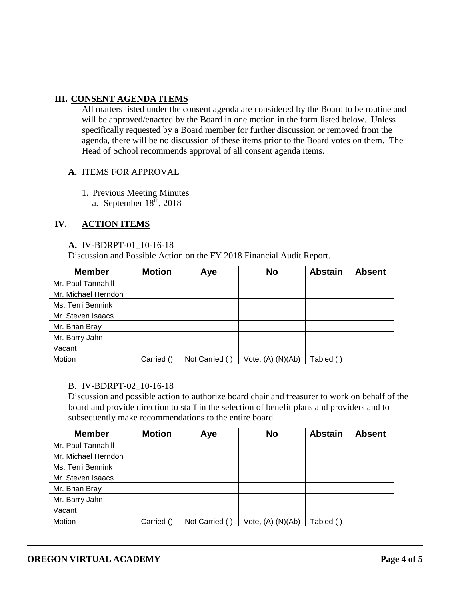### **III. CONSENT AGENDA ITEMS**

All matters listed under the consent agenda are considered by the Board to be routine and will be approved/enacted by the Board in one motion in the form listed below. Unless specifically requested by a Board member for further discussion or removed from the agenda, there will be no discussion of these items prior to the Board votes on them. The Head of School recommends approval of all consent agenda items.

### **A.** ITEMS FOR APPROVAL

- 1. Previous Meeting Minutes
	- a. September  $18<sup>th</sup>$ , 2018

### **IV. ACTION ITEMS**

#### **A.** IV-BDRPT-01\_10-16-18

Discussion and Possible Action on the FY 2018 Financial Audit Report.

| <b>Member</b>       | <b>Motion</b> | Aye            | <b>No</b>             | <b>Abstain</b> | <b>Absent</b> |
|---------------------|---------------|----------------|-----------------------|----------------|---------------|
| Mr. Paul Tannahill  |               |                |                       |                |               |
| Mr. Michael Herndon |               |                |                       |                |               |
| Ms. Terri Bennink   |               |                |                       |                |               |
| Mr. Steven Isaacs   |               |                |                       |                |               |
| Mr. Brian Bray      |               |                |                       |                |               |
| Mr. Barry Jahn      |               |                |                       |                |               |
| Vacant              |               |                |                       |                |               |
| Motion              | Carried ()    | Not Carried () | Vote, $(A)$ $(N)(Ab)$ | Tabled ı       |               |

#### B. IV-BDRPT-02\_10-16-18

Discussion and possible action to authorize board chair and treasurer to work on behalf of the board and provide direction to staff in the selection of benefit plans and providers and to subsequently make recommendations to the entire board.

| <b>Member</b>       | <b>Motion</b> | Aye           | <b>No</b>         | <b>Abstain</b> | <b>Absent</b> |
|---------------------|---------------|---------------|-------------------|----------------|---------------|
| Mr. Paul Tannahill  |               |               |                   |                |               |
| Mr. Michael Herndon |               |               |                   |                |               |
| Ms. Terri Bennink   |               |               |                   |                |               |
| Mr. Steven Isaacs   |               |               |                   |                |               |
| Mr. Brian Bray      |               |               |                   |                |               |
| Mr. Barry Jahn      |               |               |                   |                |               |
| Vacant              |               |               |                   |                |               |
| Motion              | Carried ()    | Not Carried ( | Vote, (A) (N)(Ab) | Tabled (       |               |